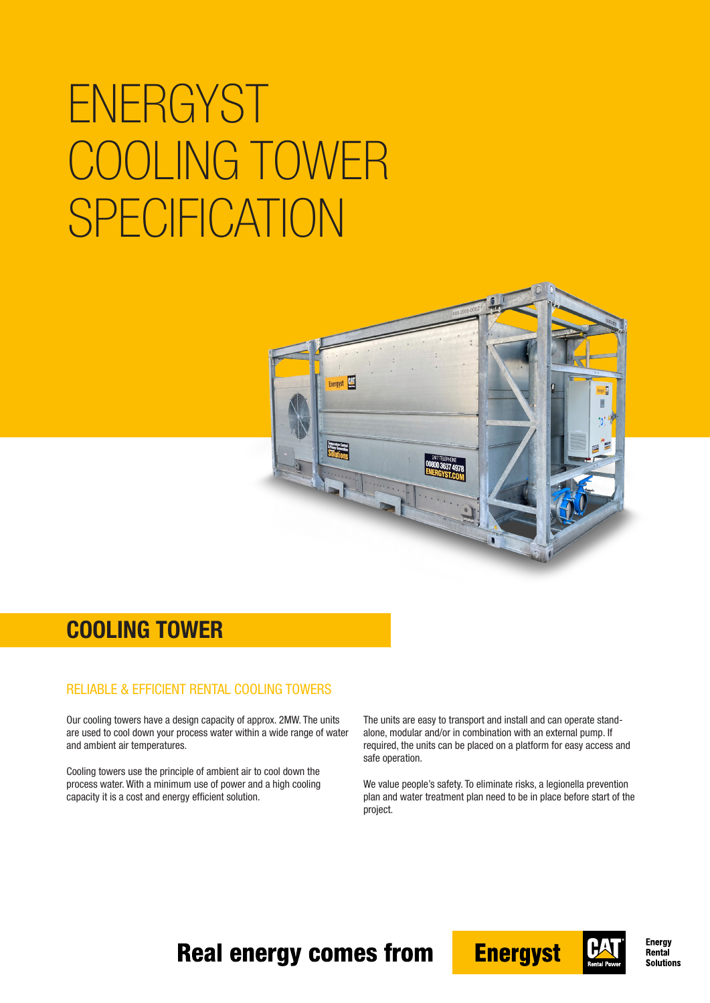# **ENERGYST** COOLING TOWER SPECIFICATION



#### COOLING TOWER

#### RELIABLE & EFFICIENT RENTAL COOLING TOWERS

Our cooling towers have a design capacity of approx. 2MW. The units are used to cool down your process water within a wide range of water and ambient air temperatures.

Cooling towers use the principle of ambient air to cool down the process water. With a minimum use of power and a high cooling capacity it is a cost and energy efficient solution.

The units are easy to transport and install and can operate standalone, modular and/or in combination with an external pump. If required, the units can be placed on a platform for easy access and safe operation.

We value people's safety. To eliminate risks, a legionella prevention plan and water treatment plan need to be in place before start of the project.

#### **Real energy comes from**





**Energy** Rental **Solutions**